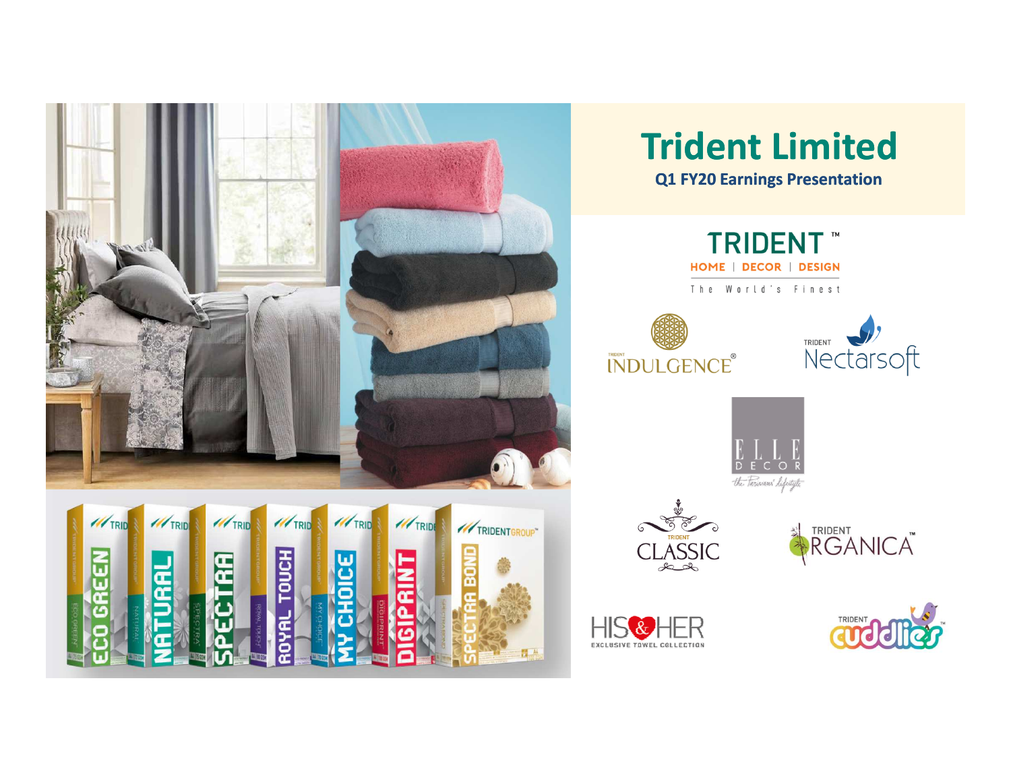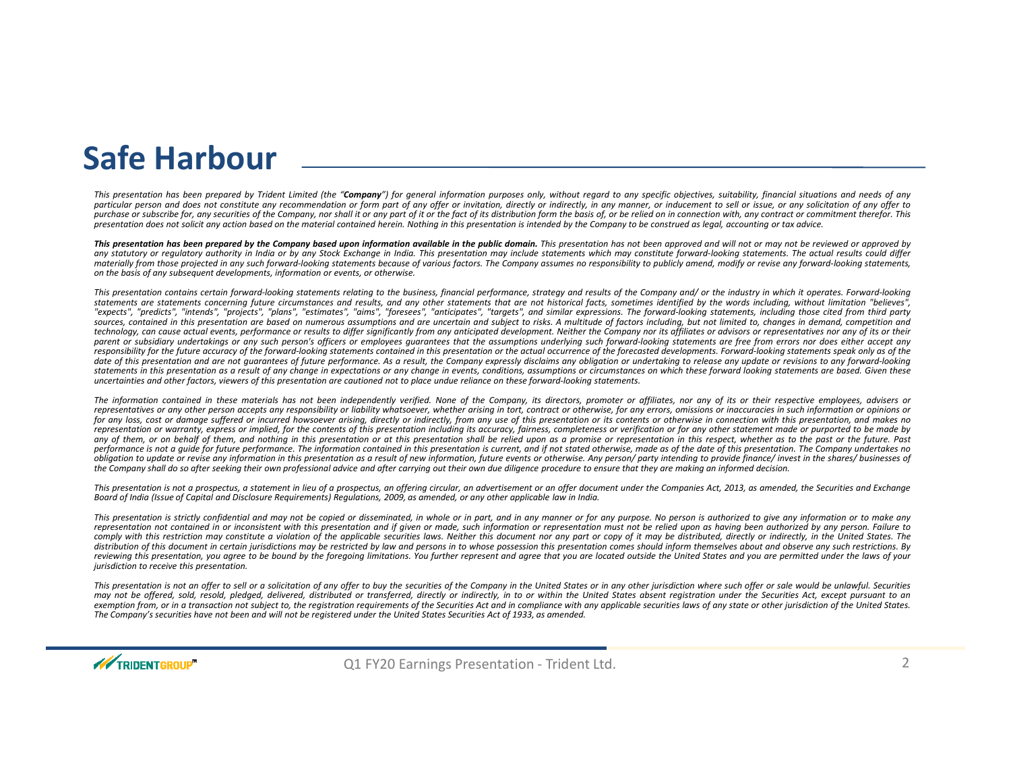#### **Safe Harbour**

This presentation has been prepared by Trident Limited (the "**Company**") for general information purposes only, without regard to any specific objectives, suitability, financial situations and needs of any particular person and does not constitute any recommendation or form part of any offer or invitation, directly or indirectly, in any manner, or inducement to sell or issue, or any solicitation of any offer to purchase or subscribe for, any securities of the Company, nor shall it or any part of it or the fact of its distribution form the basis of, or be relied on in connection with, any contract or commitment therefor. This<br>pres presentation does not solicit any action based on the material contained herein. Nothing in this presentation is intended by the Company to be construed as legal, accounting or tax advice.

This presentation has been prepared by the Company based upon information available in the public domain. This presentation has not been approved and will not or may not be reviewed or approved by any statutory or requlatory authority in India or by any Stock Exchange in India. This presentation may include statements which may constitute forward-looking statements. The actual results could differ materially from those projected in any such forward-looking statements because of various factors. The Company assumes no responsibility to publicly amend, modify or revise any forward-looking statements, on the basis of any subsequent developments, information or events, or otherwise.

This presentation contains certain forward-looking statements relating to the business, financial performance, strategy and results of the Company and/ or the industry in which it operates. Forward-looking statements are statements concerning future circumstances and results, and any other statements that are not historical facts, sometimes identified by the words including, without limitation "believes". "expects", "predicts", "intends", "projects", "plans", "estimates", "aims", "foresees", "anticipates", "targets", and similar expressions. The forward-looking statements, including those cited from third party sources, contained in this presentation are based on numerous assumptions and are uncertain and subject to risks. A multitude of factors including, but not limited to, changes in demand, competition and technology, can cause actual events, performance or results to differ significantly from any anticipated development. Neither the Company nor its affiliates or advisors or representatives nor any of its or their parent or subsidiary undertakings or any such person's officers or employees quarantees that the assumptions underlying such forward-looking statements are free from errors nor does either accept any responsibility for the future accuracy of the forward-looking statements contained in this presentation or the actual occurrence of the forecasted developments. Forward-looking statements speak only as of the date of this presentation and are not quarantees of future performance. As a result, the Company expressly disclaims any obligation or undertaking to release any update or revisions to any forward-looking statements in this presentation as a result of any change in expectations or any change in events, conditions, assumptions or circumstances on which these forward looking statements are based. Given these uncertainties and other factors, viewers of this presentation are cautioned not to place undue reliance on these forward-looking statements.

The information contained in these materials has not been independently verified. None of the Company, its directors, promoter or affiliates, nor any of its or their respective employees, advisers or representatives or any other person accepts any responsibility or liability whatsoever, whether arising in tort, contract or otherwise, for any errors, omissions or inaccuracies in such information or opinions or for any loss, cost or damage suffered or incurred howsoever arising, directly or indirectly, from any use of this presentation or its contents or otherwise in connection with this presentation, and makes no representation or warranty, express or implied, for the contents of this presentation including its accuracy, fairness, completeness or verification or for any other statement made or purported to be made by any of them, or on behalf of them, and nothing in this presentation or at this presentation shall be relied upon as a promise or representation in this respect, whether as to the past or the future. Past performance is not a quide for future performance. The information contained in this presentation is current, and if not stated otherwise, made as of the date of this presentation. The Company undertakes no obligation to update or revise any information in this presentation as a result of new information, future events or otherwise. Any person/ party intending to provide finance/ invest in the shares/ businesses of the Company shall do so after seeking their own professional advice and after carrying out their own due diligence procedure to ensure that they are making an informed decision.

This presentation is not a prospectus, a statement in lieu of a prospectus, an offering circular, an advertisement or an offer document under the Companies Act, 2013, as amended, the Securities and Exchange Board of India (Issue of Capital and Disclosure Reauirements) Reaulations, 2009, as amended, or any other applicable law in India.

This presentation is strictly confidential and may not be copied or disseminated, in whole or in part, and in any manner or for any purpose. No person is authorized to give any information or to make any representation not contained in or inconsistent with this presentation and if given or made, such information or representation must not be relied upon as having been authorized by any person. Failure to comply with this restriction may constitute a violation of the applicable securities laws. Neither this document nor any part or copy of it may be distributed, directly or indirectly, in the United States. The distribution of this document in certain jurisdictions may be restricted by law and persons in to whose possession this presentation comes should inform themselves about and observe any such restrictions. By reviewing this presentation, you agree to be bound by the foregoing limitations. You further represent and agree that you are located outside the United States and you are permitted under the laws of your the laws of your *jurisdiction to receive this presentation.*

This presentation is not an offer to sell or a solicitation of any offer to buy the securities of the Company in the United States or in any other jurisdiction where such offer or sale would be unlawful. Securities may not be offered, sold, resold, pledged, delivered, distributed or transferred, directly or indirectly, in to or within the United States absent registration under the Securities Act, except pursuant to an exemption from, or in a transaction not subject to, the registration requirements of the Securities Act and in compliance with any applicable securities laws of any state or other jurisdiction of the United States. The Company's securities have not been and will not be registered under the United States Securities Act of 1933, as amended.

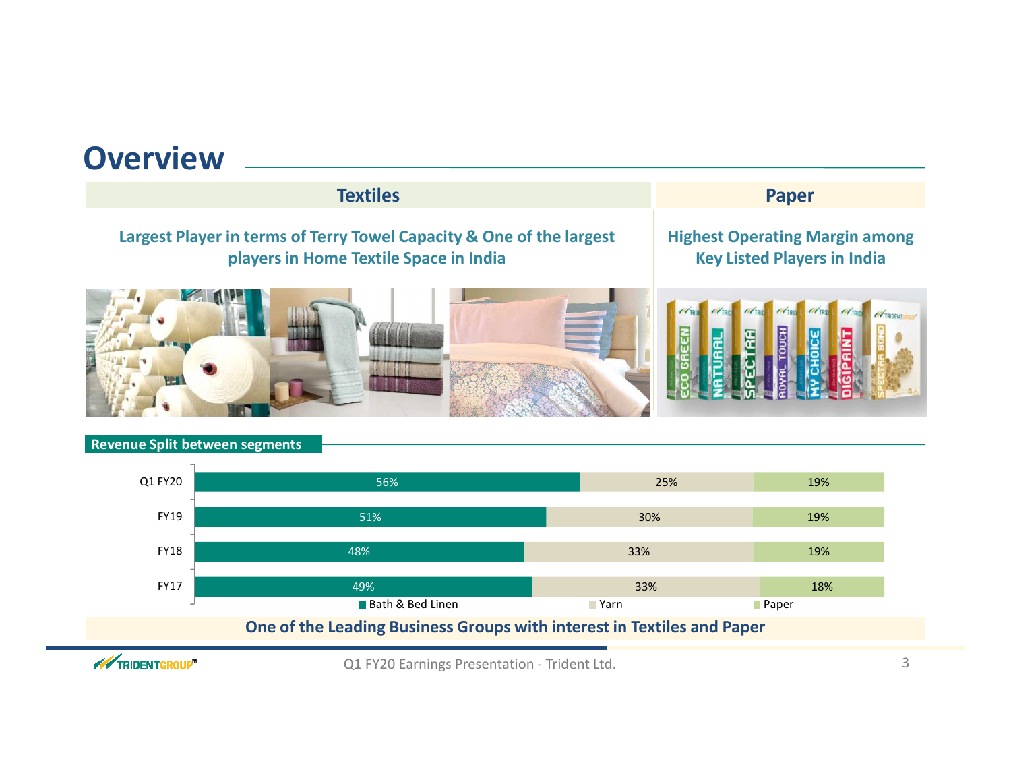#### **OverviewTextilesS** Paper **Largest Player in terms of Terry Towel Capacity & One of the largest players in Home Textile Space in IndiaHighest Operating Margin amongKey Listed Players in India**







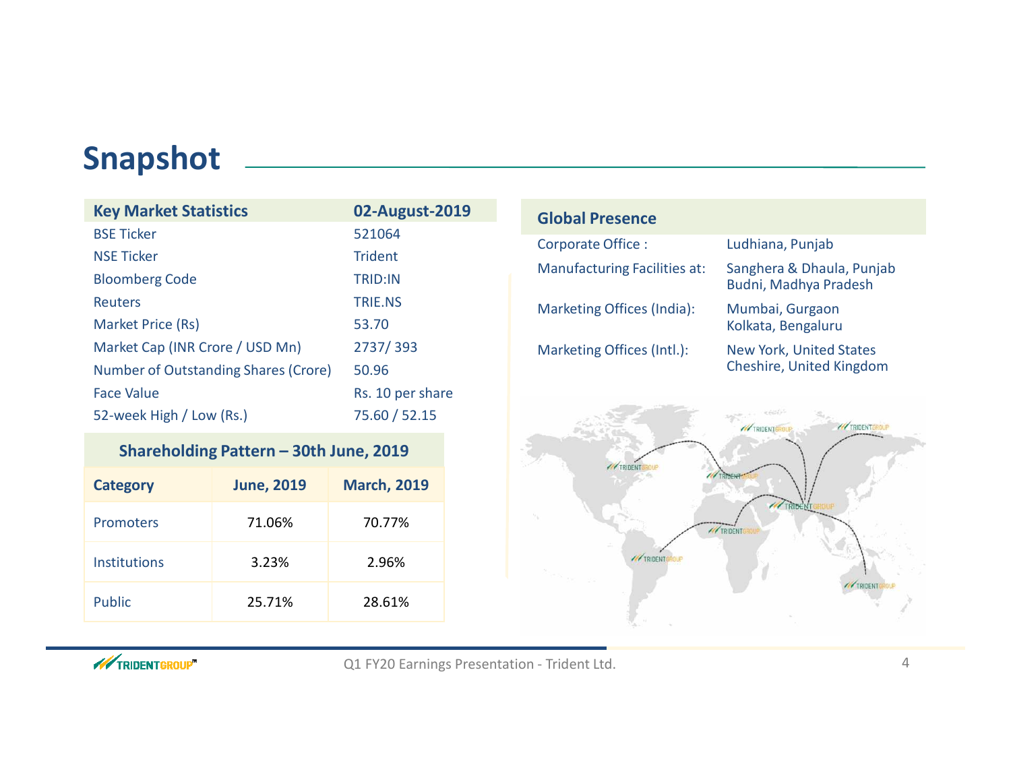### **Snapshot**

| <b>Key Market Statistics</b>         | 02-August-2019   |
|--------------------------------------|------------------|
| <b>BSE Ticker</b>                    | 521064           |
| <b>NSE Ticker</b>                    | <b>Trident</b>   |
| <b>Bloomberg Code</b>                | <b>TRID:IN</b>   |
| Reuters                              | <b>TRIE.NS</b>   |
| Market Price (Rs)                    | 53.70            |
| Market Cap (INR Crore / USD Mn)      | 2737/393         |
| Number of Outstanding Shares (Crore) | 50.96            |
| Face Value                           | Rs. 10 per share |
| 52-week High / Low (Rs.)             | 75.60 / 52.15    |

#### **Shareholding Pattern – 30th June, 2019**

| <b>Category</b> | <b>June, 2019</b> | <b>March, 2019</b> |
|-----------------|-------------------|--------------------|
| Promoters       | 71.06%            | 70.77%             |
| Institutions    | 3.23%             | 2.96%              |
| <b>Public</b>   | 25.71%            | 28.61%             |

| <b>Global Presence</b>              |                                                            |
|-------------------------------------|------------------------------------------------------------|
| Corporate Office:                   | Ludhiana, Punjab                                           |
| <b>Manufacturing Facilities at:</b> | Sanghera & Dhaula, Punjab<br>Budni, Madhya Pradesh         |
| Marketing Offices (India):          | Mumbai, Gurgaon<br>Kolkata, Bengaluru                      |
| Marketing Offices (Intl.):          | <b>New York, United States</b><br>Cheshire, United Kingdom |



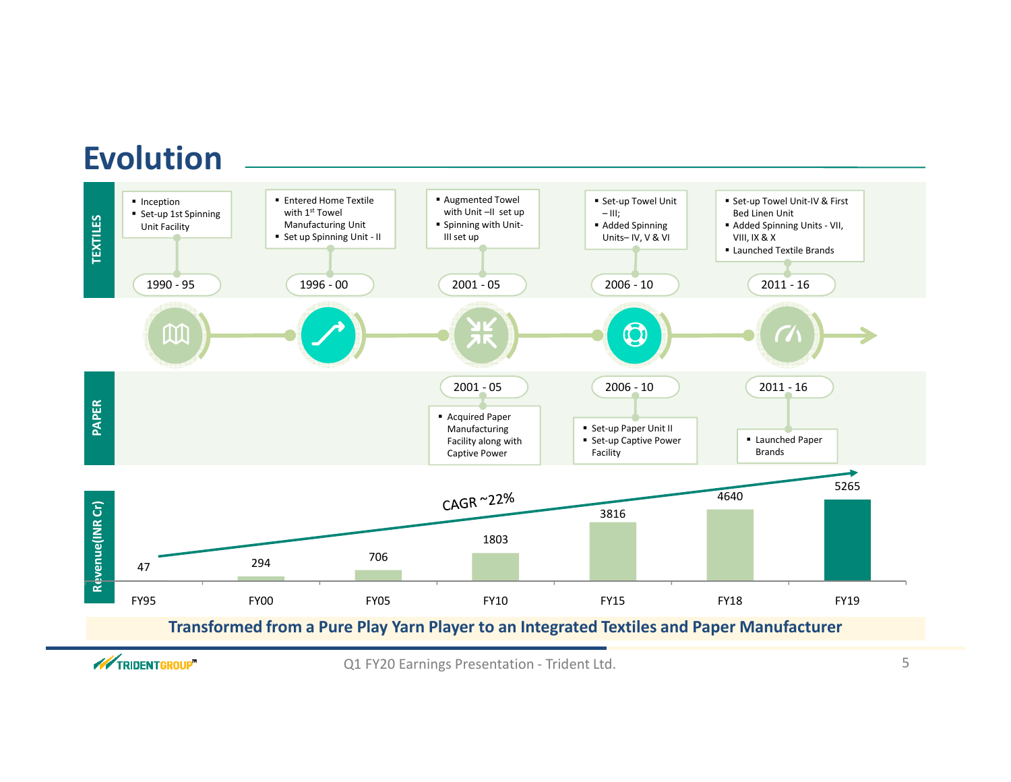### **Evolution**



**WEIGHTGROUP**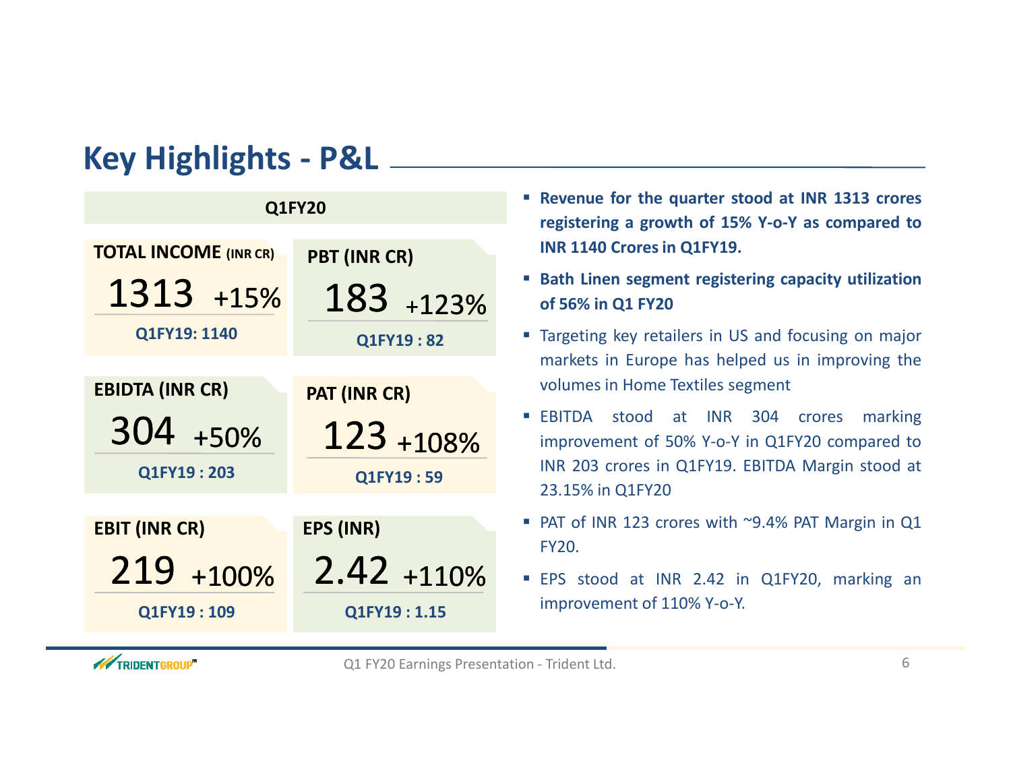## **Key Highlights - P&L**

| <b>Q1FY20</b>                |                     |  |  |  |
|------------------------------|---------------------|--|--|--|
| <b>TOTAL INCOME (INR CR)</b> | PBT (INR CR)        |  |  |  |
| 1313 +15%                    | 183 +123%           |  |  |  |
| Q1FY19: 1140                 | Q1FY19:82           |  |  |  |
|                              |                     |  |  |  |
| <b>EBIDTA (INR CR)</b>       | <b>PAT (INR CR)</b> |  |  |  |
| 304 +50%                     | 123 +108%           |  |  |  |
| Q1FY19:203                   | Q1FY19:59           |  |  |  |
|                              |                     |  |  |  |
| <b>EBIT (INR CR)</b>         | <b>EPS (INR)</b>    |  |  |  |
| 219 +100%                    | $2.42 + 110%$       |  |  |  |
| Q1FY19:109                   | Q1FY19:1.15         |  |  |  |

- **Revenue for the quarter stood at INR <sup>1313</sup> crores registering <sup>a</sup> growth of 15% Y-o-Y as compared toINR <sup>1140</sup> Crores in Q1FY19.**
- **Bath Linen segment registering capacity utilizationof 56% in Q1 FY20**
- Targeting key retailers in US and focusing on major markets in Europe has helped us in improving the volumes in Home Textiles segment
- EBITDA stood at INR <sup>304</sup> crores marking improvement of 50% Y-o-Y in Q1FY20 compared to INR <sup>203</sup> crores in Q1FY19. EBITDA Margin stood at 23.15% in Q1FY20
- **PAT of INR 123 crores with ~9.4% PAT Margin in Q1** FY20.
- EPS stood at INR 2.42 in Q1FY20, marking animprovement of 110% Y-o-Y.

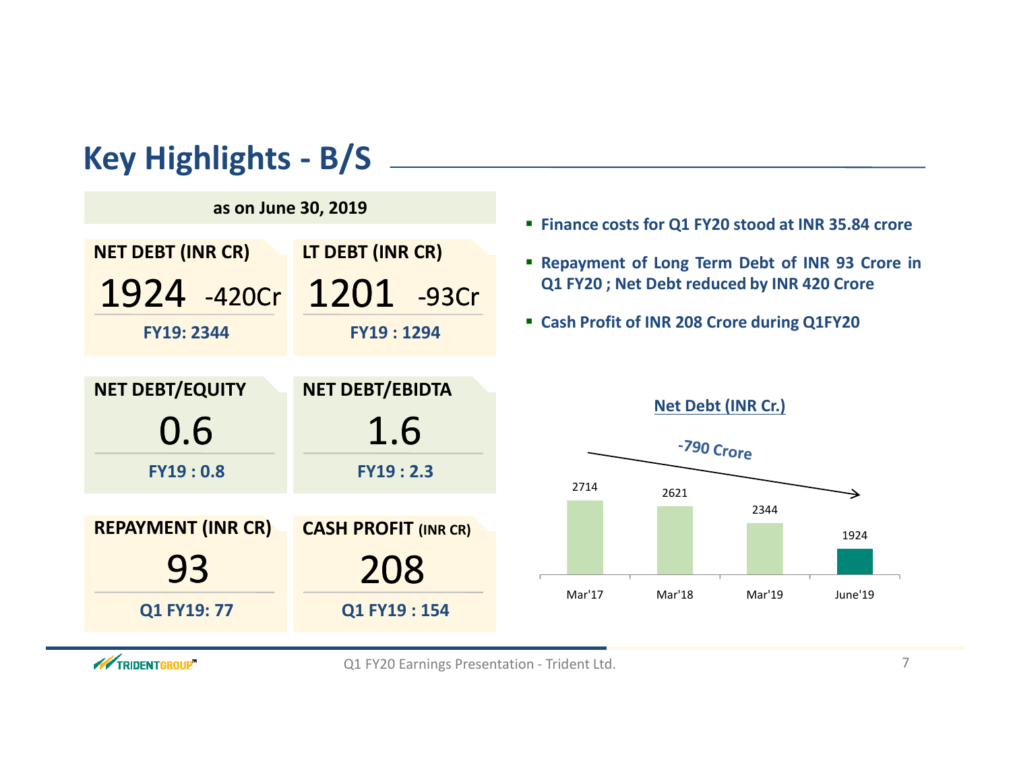## **Key Highlights - B/S**



#### **Finance costs for Q1 FY20 stood at INR 35.84 crore**

- **Repayment of Long Term Debt of INR <sup>93</sup> Crore inQ1 FY20 ; Net Debt reduced by INR <sup>420</sup> Crore**
- **Cash Profit of INR <sup>208</sup> Crore during Q1FY20**



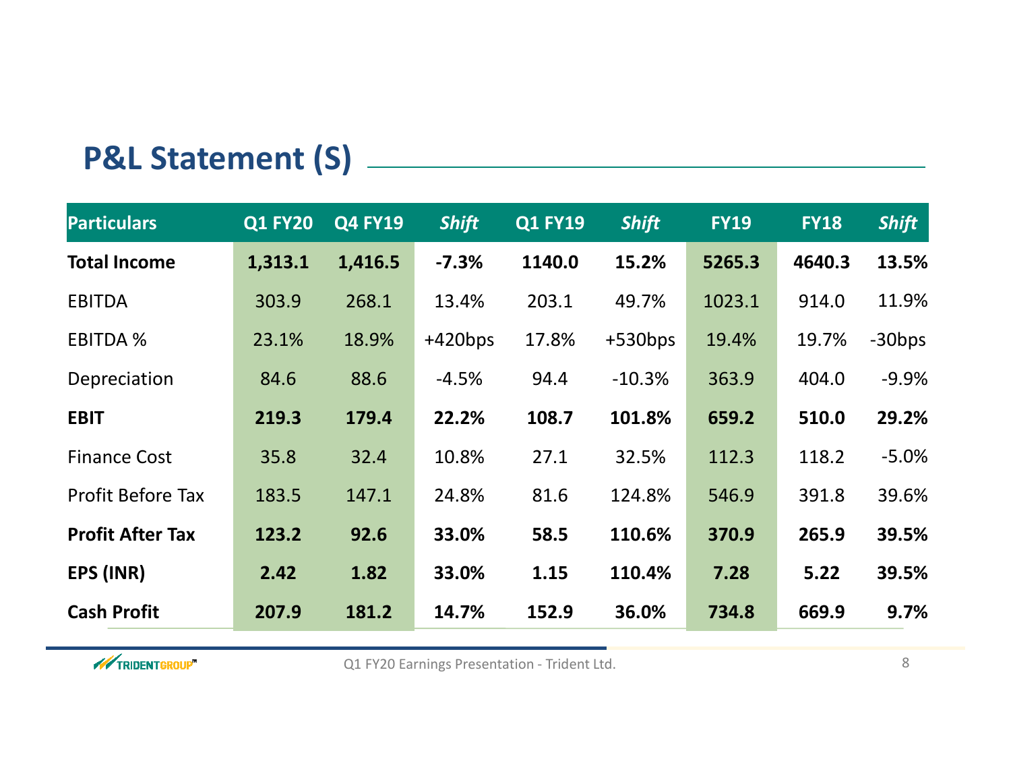# **P&L Statement (S)**

| <b>Particulars</b>       | <b>Q1 FY20</b> | <b>Q4 FY19</b> | <b>Shift</b> | <b>Q1 FY19</b> | <b>Shift</b> | <b>FY19</b> | <b>FY18</b> | <b>Shift</b> |
|--------------------------|----------------|----------------|--------------|----------------|--------------|-------------|-------------|--------------|
| <b>Total Income</b>      | 1,313.1        | 1,416.5        | $-7.3%$      | 1140.0         | 15.2%        | 5265.3      | 4640.3      | 13.5%        |
| <b>EBITDA</b>            | 303.9          | 268.1          | 13.4%        | 203.1          | 49.7%        | 1023.1      | 914.0       | 11.9%        |
| <b>EBITDA %</b>          | 23.1%          | 18.9%          | $+420bps$    | 17.8%          | $+530bps$    | 19.4%       | 19.7%       | $-30bps$     |
| Depreciation             | 84.6           | 88.6           | $-4.5%$      | 94.4           | $-10.3%$     | 363.9       | 404.0       | $-9.9%$      |
| <b>EBIT</b>              | 219.3          | 179.4          | 22.2%        | 108.7          | 101.8%       | 659.2       | 510.0       | 29.2%        |
| <b>Finance Cost</b>      | 35.8           | 32.4           | 10.8%        | 27.1           | 32.5%        | 112.3       | 118.2       | $-5.0%$      |
| <b>Profit Before Tax</b> | 183.5          | 147.1          | 24.8%        | 81.6           | 124.8%       | 546.9       | 391.8       | 39.6%        |
| <b>Profit After Tax</b>  | 123.2          | 92.6           | 33.0%        | 58.5           | 110.6%       | 370.9       | 265.9       | 39.5%        |
| EPS (INR)                | 2.42           | 1.82           | 33.0%        | 1.15           | 110.4%       | 7.28        | 5.22        | 39.5%        |
| <b>Cash Profit</b>       | 207.9          | 181.2          | 14.7%        | 152.9          | 36.0%        | 734.8       | 669.9       | 9.7%         |

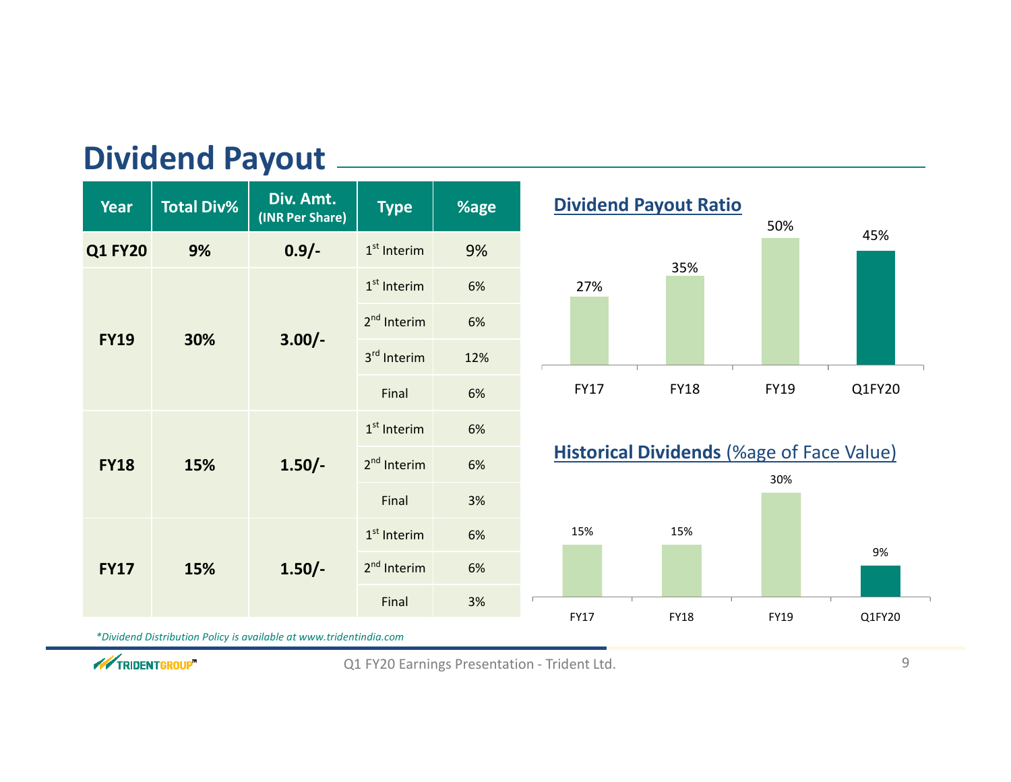| <b>Dividend Payout</b> |  |
|------------------------|--|
|------------------------|--|

| <b>Year</b>        | <b>Total Div%</b>              | Div. Amt.<br>(INR Per Share) | <b>Type</b>             | %age |
|--------------------|--------------------------------|------------------------------|-------------------------|------|
| <b>Q1 FY20</b>     | 9%                             | $0.9/-$                      | $1st$ Interim           | 9%   |
|                    |                                |                              | $1st$ Interim           | 6%   |
| <b>FY19</b>        |                                |                              | 2 <sup>nd</sup> Interim | 6%   |
| 30%                | $3.00/-$                       | 3 <sup>rd</sup> Interim      | 12%                     |      |
|                    |                                | Final                        | 6%                      |      |
|                    | 15%<br>$1.50/-$<br><b>FY18</b> |                              | $1st$ Interim           | 6%   |
|                    |                                |                              | 2 <sup>nd</sup> Interim | 6%   |
|                    |                                | Final                        | 3%                      |      |
| 15%<br><b>FY17</b> |                                | 1 <sup>st</sup> Interim      | 6%                      |      |
|                    | $1.50/-$                       |                              | 2 <sup>nd</sup> Interim | 6%   |
|                    |                                |                              | Final                   | 3%   |

*\*Dividend Distribution Policy is available at www.tridentindia.com*





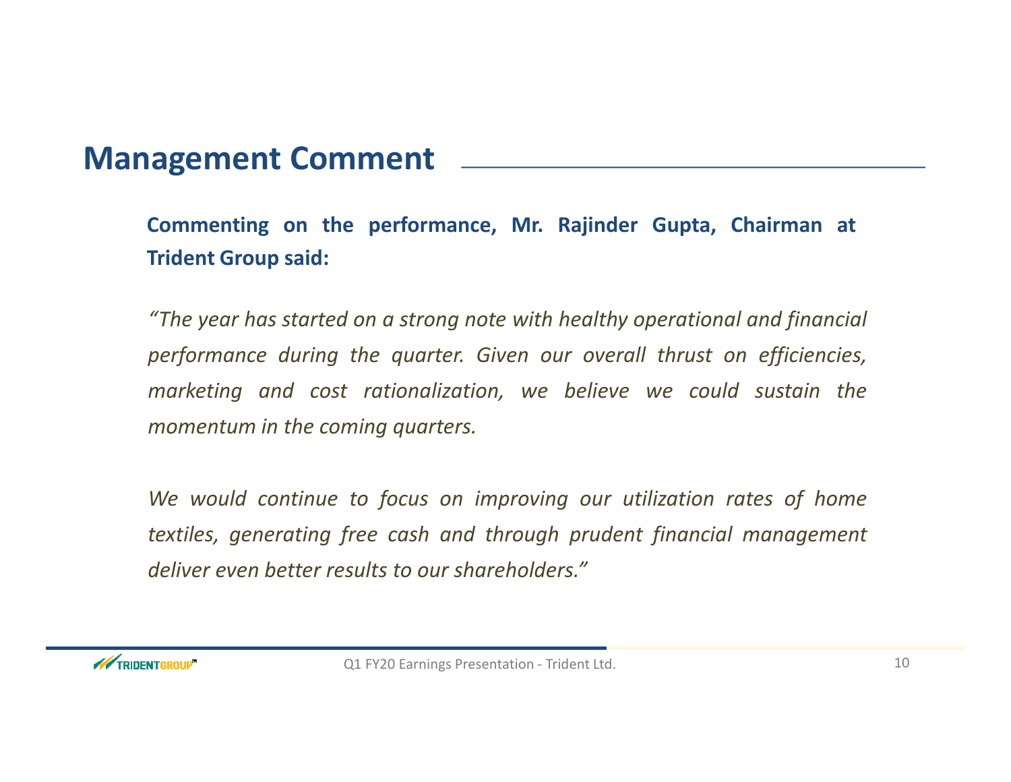### **Management Comment**

**Commenting on the performance, Mr. Rajinder Gupta, Chairman at Trident Group said:**

"The year has started on a strong note with healthy operational and financial *performance during the quarter. Given our overall thrust on efficiencies, marketing and cost rationalization, we believe we could sustain the momentum in the coming quarters.*

We would continue to focus on improving our utilization rates of home *textiles, generating free cash and through prudent financial management deliver even better results to our shareholders."*

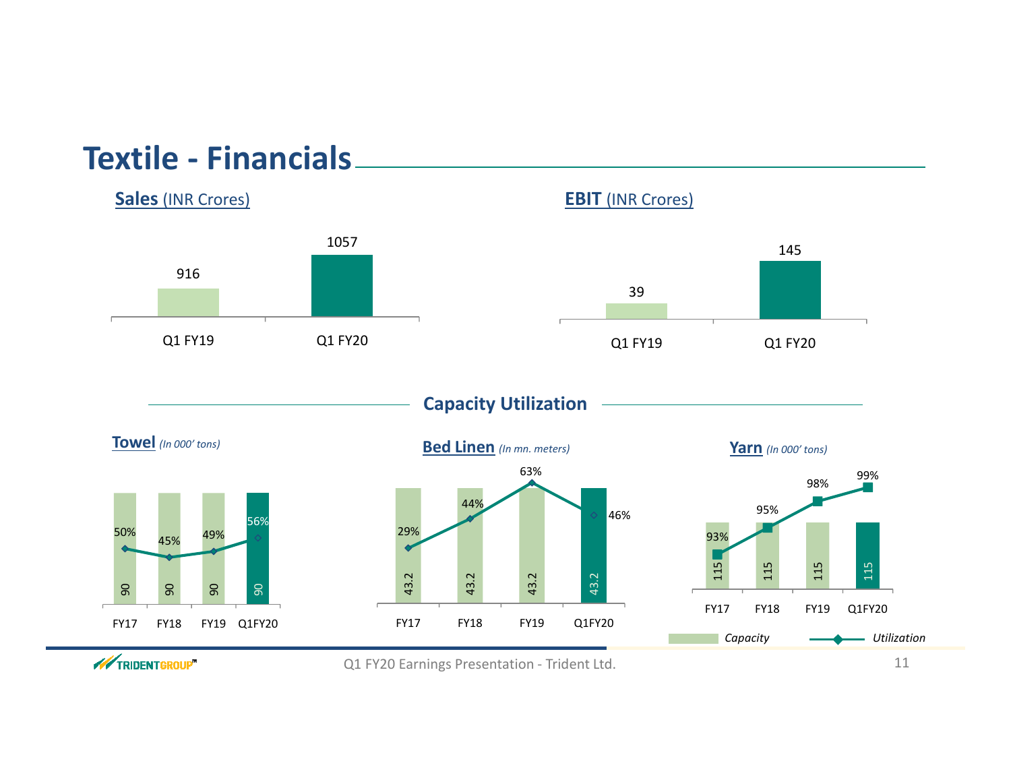### **Textile - Financials**



// TRIDENTGROUP"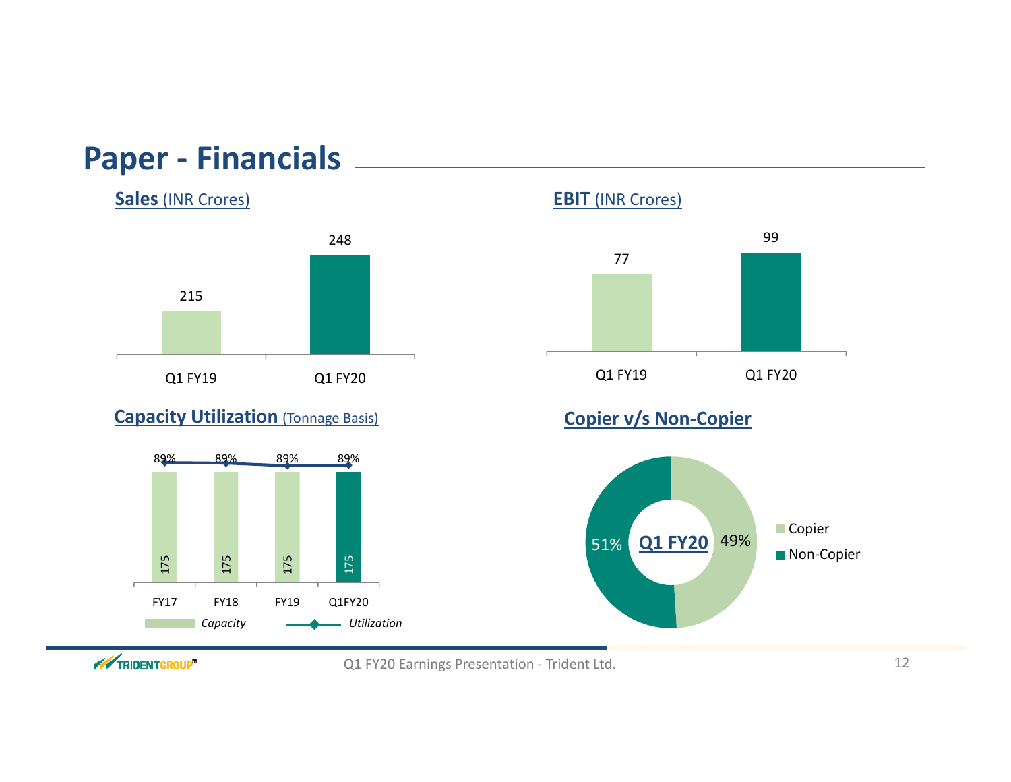### **Paper - Financials**





#### **Capacity Utilization** (Tonnage Basis)







#### **Copier v/s Non-Copier**



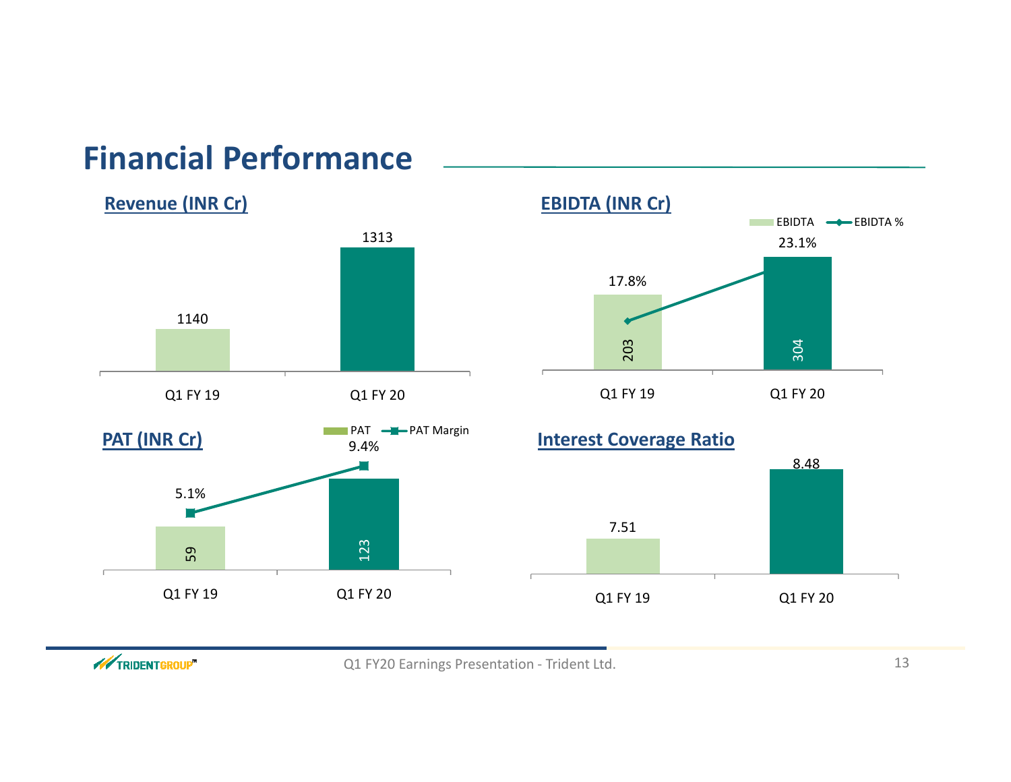## **Financial Performance**

#### **Revenue (INR Cr)**





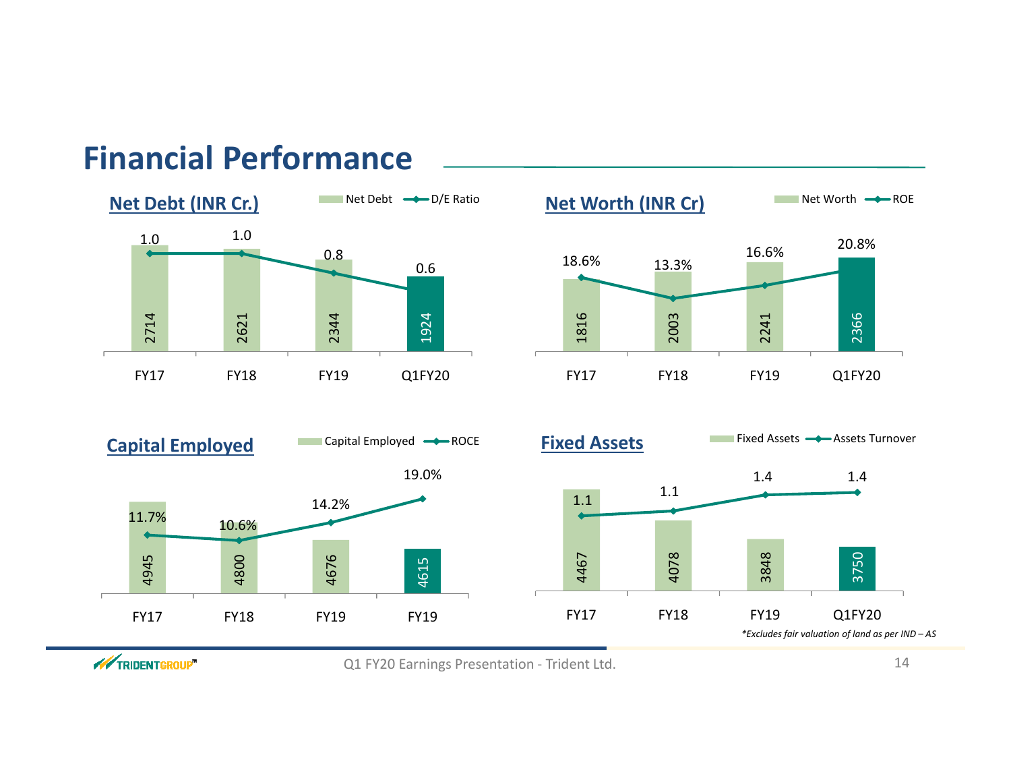### **Financial Performance**



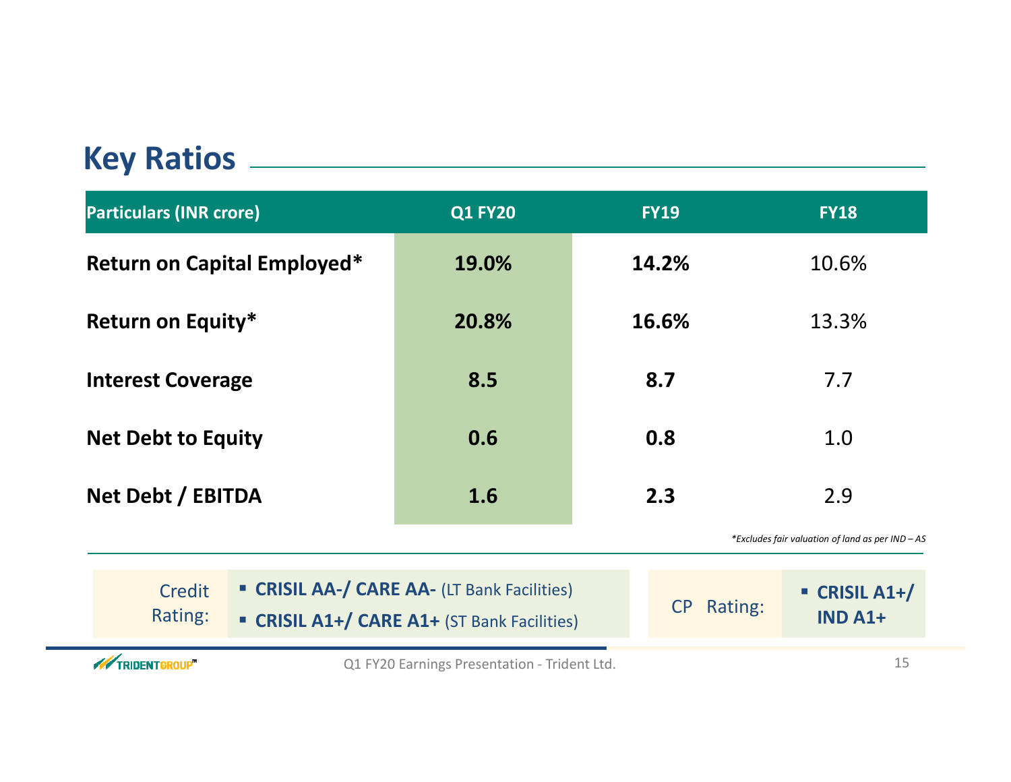## **Key Ratios**

| <b>Particulars (INR crore)</b>                                                                                  | <b>Q1 FY20</b>                               | <b>FY19</b>                                  | <b>FY18</b>                                    |
|-----------------------------------------------------------------------------------------------------------------|----------------------------------------------|----------------------------------------------|------------------------------------------------|
| <b>Return on Capital Employed*</b>                                                                              | 19.0%                                        | 14.2%                                        | 10.6%                                          |
| <b>Return on Equity*</b>                                                                                        | 20.8%                                        | 16.6%                                        | 13.3%                                          |
| <b>Interest Coverage</b>                                                                                        | 8.5                                          | 8.7                                          | 7.7                                            |
| <b>Net Debt to Equity</b>                                                                                       | 0.6                                          | 0.8                                          | 1.0                                            |
| Net Debt / EBITDA                                                                                               | 1.6                                          | 2.3                                          | 2.9                                            |
|                                                                                                                 |                                              |                                              | *Excludes fair valuation of land as per IND-AS |
| " CRISIL AA-/ CARE AA- (LT Bank Facilities)<br>Credit<br>Rating:<br>" CRISIL A1+/ CARE A1+ (ST Bank Facilities) | Rating:<br>CP                                | $\blacksquare$ CRISIL A1+/<br><b>IND A1+</b> |                                                |
| <b>WEIGHTEROUP</b>                                                                                              | Q1 FY20 Earnings Presentation - Trident Ltd. |                                              | 15                                             |